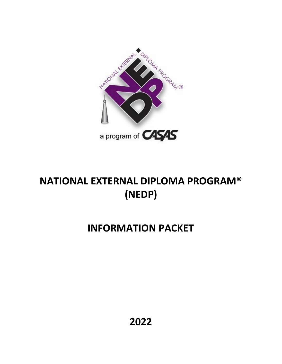

# **NATIONAL EXTERNAL DIPLOMA PROGRAM® (NEDP)**

# **INFORMATION PACKET**

**2022**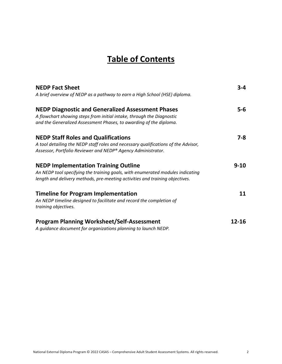# **Table of Contents**

| <b>NEDP Fact Sheet</b>                                                             | $3 - 4$  |
|------------------------------------------------------------------------------------|----------|
| A brief overview of NEDP as a pathway to earn a High School (HSE) diploma.         |          |
| <b>NEDP Diagnostic and Generalized Assessment Phases</b>                           | $5-6$    |
| A flowchart showing steps from initial intake, through the Diagnostic              |          |
| and the Generalized Assessment Phases, to awarding of the diploma.                 |          |
| <b>NEDP Staff Roles and Qualifications</b>                                         | $7 - 8$  |
| A tool detailing the NEDP staff roles and necessary qualifications of the Advisor, |          |
| Assessor, Portfolio Reviewer and NEDP® Agency Administrator.                       |          |
| <b>NEDP Implementation Training Outline</b>                                        | $9 - 10$ |
| An NEDP tool specifying the training goals, with enumerated modules indicating     |          |
| length and delivery methods, pre-meeting activities and training objectives.       |          |
| <b>Timeline for Program Implementation</b>                                         | 11       |
| An NEDP timeline designed to facilitate and record the completion of               |          |
| training objectives.                                                               |          |
| <b>Program Planning Worksheet/Self-Assessment</b>                                  | 12-16    |
| A guidance document for organizations planning to launch NEDP.                     |          |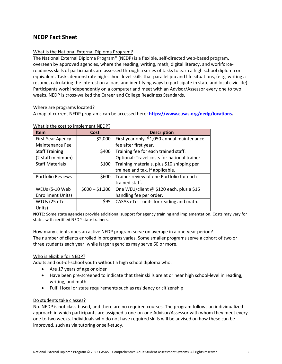#### **NEDP Fact Sheet**

#### What is the National External Diploma Program?

The National External Diploma Program® (NEDP) is a flexible, self-directed web-based program, overseen by approved agencies, where the reading, writing, math, digital literacy, and workforcereadiness skills of participants are assessed through a series of tasks to earn a high school diploma or equivalent. Tasks demonstrate high school level skills that parallel job and life situations, (e.g., writing a resume, calculating the interest on a loan, and identifying ways to participate in state and local civic life). Participants work independently on a computer and meet with an Advisor/Assessor every one to two weeks. NEDP is cross-walked the Career and College Readiness Standards.

#### Where are programs located?

A map of current NEDP programs can be accessed here: **[https://www.casas.org/nedp/locations.](https://www.casas.org/nedp/locations)**

| <b>Item</b>              | Cost            | <b>Description</b>                          |
|--------------------------|-----------------|---------------------------------------------|
| <b>First Year Agency</b> | \$2,000         | First year only. \$1,050 annual maintenance |
| Maintenance Fee          |                 | fee after first year.                       |
| <b>Staff Training</b>    | \$400           | Training fee for each trained staff.        |
| (2 staff minimum)        |                 | Optional: Travel costs for national trainer |
| <b>Staff Materials</b>   | \$100           | Training materials, plus \$10 shipping per  |
|                          |                 | trainee and tax, if applicable.             |
| <b>Portfolio Reviews</b> | \$600           | Trainer review of one Portfolio for each    |
|                          |                 | trained staff.                              |
| <b>WEUs (5-10 Web</b>    | $$600 - $1,200$ | One WEU/client @ \$120 each, plus a \$15    |
| <b>Enrollment Units)</b> |                 | handling fee per order.                     |
| WTUs (25 eTest           | \$95            | CASAS eTest units for reading and math.     |
| Units)                   |                 |                                             |

#### What is the cost to implement NEDP?

**NOTE:** Some state agencies provide additional support for agency training and implementation. Costs may vary for states with certified NEDP state trainers.

#### How many clients does an active NEDP program serve on average in a one-year period?

The number of clients enrolled in programs varies. Some smaller programs serve a cohort of two or three students each year, while larger agencies may serve 60 or more.

#### Who is eligible for NEDP?

Adults and out-of-school youth without a high school diploma who:

- Are 17 years of age or older
- Have been pre-screened to indicate that their skills are at or near high school-level in reading, writing, and math
- Fulfill local or state requirements such as residency or citizenship

#### Do students take classes?

No. NEDP is not class-based, and there are no required courses. The program follows an individualized approach in which participants are assigned a one-on-one Advisor/Assessor with whom they meet every one to two weeks. Individuals who do not have required skills will be advised on how these can be improved, such as via tutoring or self-study.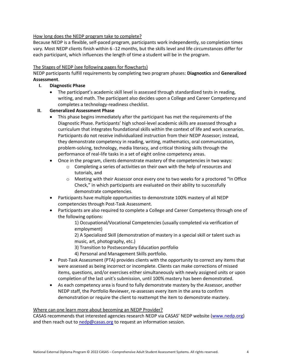#### How long does the NEDP program take to complete?

Because NEDP is a flexible, self-paced program, participants work independently, so completion times vary. Most NEDP clients finish within 6 -12 months, but the skills level and life circumstances differ for each participant, which influences the length of time a student will be in the program.

#### The Stages of NEDP (see following pages for flowcharts)

NEDP participants fulfill requirements by completing two program phases: **Diagnostics** and **Generalized Assessment**.

#### **I. Diagnostic Phase**

• The participant's academic skill level is assessed through standardized tests in reading, writing, and math. The participant also decides upon a College and Career Competency and completes a technology-readiness checklist.

#### **II. Generalized Assessment Phase**

- This phase begins immediately after the participant has met the requirements of the Diagnostic Phase. Participants' high school-level academic skills are assessed through a curriculum that integrates foundational skills within the context of life and work scenarios. Participants do not receive individualized instruction from their NEDP Assessor; instead, they demonstrate competency in reading, writing, mathematics, oral communication, problem-solving, technology, media literacy, and critical thinking skills through the performance of real-life tasks in a set of eight online competency areas.
- Once in the program, clients demonstrate mastery of the competencies in two ways:
	- o Completing a series of activities on their own with the help of resources and tutorials, and
	- o Meeting with their Assessor once every one to two weeks for a proctored "In Office Check," in which participants are evaluated on their ability to successfully demonstrate competencies.
- Participants have multiple opportunities to demonstrate 100% mastery of all NEDP competencies through Post-Task Assessment.
- Participants are also required to complete a College and Career Competency through one of the following options:

1) Occupational/Vocational Competencies (usually completed via verification of employment)

2) A Specialized Skill (demonstration of mastery in a special skill or talent such as music, art, photography, etc.)

- 3) Transition to Postsecondary Education portfolio
- 4) Personal and Management Skills portfolio.
- Post-Task Assessment (PTA) provides clients with the opportunity to correct any items that were assessed as being incorrect or incomplete. Clients can make corrections of missed items, questions, and/or exercises either simultaneously with newly assigned units or upon completion of the last unit's submission, until 100% mastery has been demonstrated.
- As each competency area is found to fully demonstrate mastery by the Assessor, another NEDP staff, the Portfolio Reviewer, re-assesses every item in the area to confirm demonstration or require the client to reattempt the item to demonstrate mastery.

#### Where can one learn more about becoming an NEDP Provider?

CASAS recommends that interested agencies research NEDP via CASAS' NEDP website ([www.nedp.org\)](http://www.nedp.org/) and then reach out to **nedp@casas.org** to request an information session.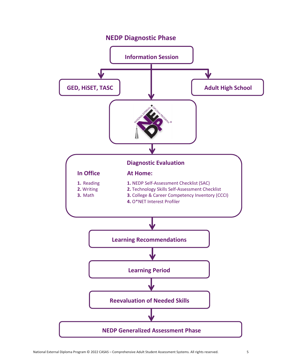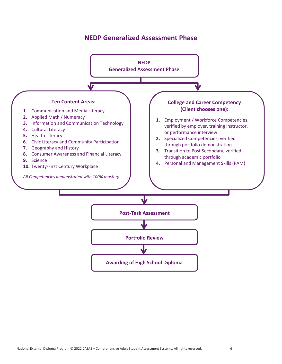### **NEDP Generalized Assessment Phase**

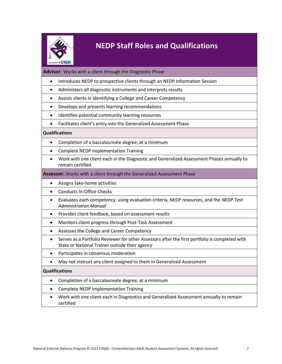

### **NEDP Staff Roles and Qualifications**

#### **Advisor:** Works with a client through the Diagnostic Phase

- Introduces NEDP to prospective clients through an NEDP Information Session
- Administers all diagnostic instruments and interprets results
- Assists clients in identifying a College and Career Competency
- Develops and presents learning recommendations
- Identifies potential community learning resources
- Facilitates client's entry into the Generalized Assessment Phase

#### **Qualifications**

- Completion of a baccalaureate degree, at a minimum
- Complete NEDP Implementation Training
- Work with one client each in the Diagnostic and Generalized Assessment Phases annually to remain certified

#### **Assessor:** Works with a client through the Generalized Assessment Phase

- Assigns take-home activities
- Conducts In-Office Checks
- Evaluates each competency, using evaluation criteria, NEDP resources, and the *NEDP Test Administration Manual*
- Provides client feedback, based on assessment results
- Monitors client progress through Post-Task Assessment
- Assesses the College and Career Competency
- Serves as a Portfolio Reviewer for other Assessors after the first portfolio is completed with State or National Trainer outside their agency
- Participates in consensus moderation
- May not instruct any client assigned to them in Generalized Assessment

#### **Qualifications**

- Completion of a baccalaureate degree, at a minimum
- Complete NEDP Implementation Training
	- Work with one client each in Diagnostics and Generalized Assessment annually to remain certified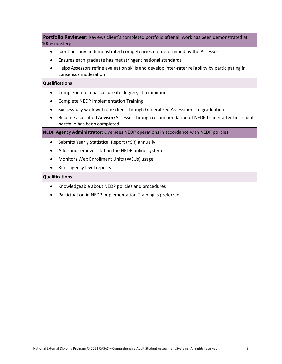**Portfolio Reviewer:** Reviews client's completed portfolio after all work has been demonstrated at 100% mastery

- Identifies any undemonstrated competencies not determined by the Assessor
- Ensures each graduate has met stringent national standards
- Helps Assessors refine evaluation skills and develop inter-rater reliability by participating in consensus moderation

#### **Qualifications**

- Completion of a baccalaureate degree, at a minimum
- Complete NEDP Implementation Training
- Successfully work with one client through Generalized Assessment to graduation
- Become a certified Advisor/Assessor through recommendation of NEDP trainer after first client portfolio has been completed.

**NEDP Agency Administrator:** Oversees NEDP operations in accordance with NEDP policies

- Submits Yearly Statistical Report (YSR) annually
- Adds and removes staff in the NEDP online system
- Monitors Web Enrollment Units (WEUs) usage
- Runs agency level reports

#### **Qualifications**

- Knowledgeable about NEDP policies and procedures
- Participation in NEDP Implementation Training is preferred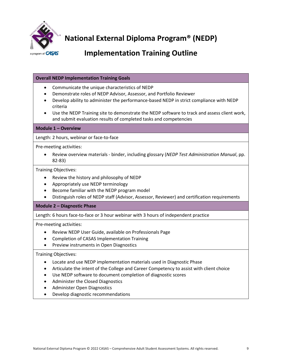

**National External Diploma Program® (NEDP)**

## **Implementation Training Outline**

#### **Overall NEDP Implementation Training Goals**

- Communicate the unique characteristics of NEDP
- Demonstrate roles of NEDP Advisor, Assessor, and Portfolio Reviewer
- Develop ability to administer the performance-based NEDP in strict compliance with NEDP criteria
- Use the NEDP Training site to demonstrate the NEDP software to track and assess client work, and submit evaluation results of completed tasks and competencies

**Module 1 – Overview** 

Length: 2 hours, webinar or face-to-face

Pre-meeting activities:

• Review overview materials - binder, including glossary (*NEDP Test Administration Manual*, pp. 82-83)

Training Objectives:

- Review the history and philosophy of NEDP
- Appropriately use NEDP terminology
- Become familiar with the NEDP program model
- Distinguish roles of NEDP staff (Advisor, Assessor, Reviewer) and certification requirements

#### **Module 2 – Diagnostic Phase**

Length: 6 hours face-to-face or 3 hour webinar with 3 hours of independent practice

Pre-meeting activities:

- Review NEDP User Guide, available on Professionals Page
- Completion of CASAS Implementation Training
- Preview instruments in Open Diagnostics

#### Training Objectives:

- Locate and use NEDP implementation materials used in Diagnostic Phase
- Articulate the intent of the College and Career Competency to assist with client choice
- Use NEDP software to document completion of diagnostic scores
- Administer the Closed Diagnostics
- Administer Open Diagnostics
- Develop diagnostic recommendations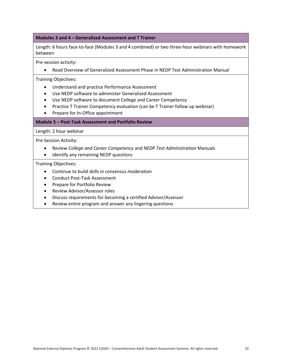#### **Modules 3 and 4 – Generalized Assessment and T Trainer**

Length: 6 hours face-to-face (Modules 3 and 4 combined) or two three-hour webinars with homework between

Pre-session activity:

• Read Overview of Generalized Assessment Phase in NEDP Test Administration Manual

Training Objectives:

- Understand and practice Performance Assessment
- Use NEDP software to administer Generalized Assessment
- Use NEDP software to document College and Career Competency
- Practice T Trainer Competency evaluation (can be T Trainer follow up webinar)
- Prepare for In-Office appointment

#### **Module 5 – Post-Task Assessment and Portfolio Review**

Length: 2 hour webinar

Pre-Session Activity:

- Review *College and Career Competency* and *NEDP Test Administration* Manuals
- Identify any remaining NEDP questions

Training Objectives:

- Continue to build skills in consensus moderation
- Conduct Post-Task Assessment
- Prepare for Portfolio Review
- Review Advisor/Assessor roles
- Discuss requirements for becoming a certified Advisor/Assessor
- Review entire program and answer any lingering questions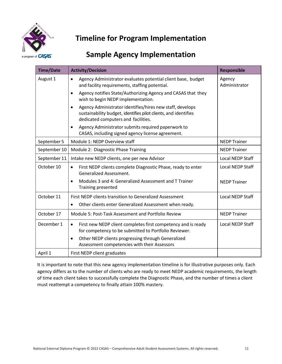

# **Timeline for Program Implementation**

# **Sample Agency Implementation**

| <b>Time/Date</b> | <b>Activity/Decision</b>                                                                                                                                                         | <b>Responsible</b>      |
|------------------|----------------------------------------------------------------------------------------------------------------------------------------------------------------------------------|-------------------------|
| August 1         | Agency Administrator evaluates potential client base, budget<br>$\bullet$<br>and facility requirements, staffing potential.                                                      | Agency<br>Administrator |
|                  | Agency notifies State/Authorizing Agency and CASAS that they<br>$\bullet$<br>wish to begin NEDP implementation.                                                                  |                         |
|                  | Agency Administrator identifies/hires new staff, develops<br>$\bullet$<br>sustainability budget, identifies pilot clients, and identifies<br>dedicated computers and facilities. |                         |
|                  | Agency Administrator submits required paperwork to<br>CASAS, including signed agency license agreement.                                                                          |                         |
| September 5      | Module 1: NEDP Overview staff                                                                                                                                                    | <b>NEDP Trainer</b>     |
| September 10     | Module 2: Diagnostic Phase Training<br><b>NEDP Trainer</b>                                                                                                                       |                         |
| September 11     | Intake new NEDP clients, one per new Advisor<br>Local NEDP Staff                                                                                                                 |                         |
| October 10       | First NEDP clients complete Diagnostic Phase, ready to enter<br>$\bullet$<br>Generalized Assessment.                                                                             | Local NEDP Staff        |
|                  | Modules 3 and 4: Generalized Assessment and T Trainer<br>$\bullet$<br>Training presented                                                                                         | <b>NEDP Trainer</b>     |
| October 11       | First NEDP clients transition to Generalized Assessment<br>Other clients enter Generalized Assessment when ready.<br>$\bullet$                                                   | Local NEDP Staff        |
| October 17       | Module 5: Post-Task Assessment and Portfolio Review                                                                                                                              | <b>NEDP Trainer</b>     |
| December 1       | First new NEDP client completes first competency and is ready<br>$\bullet$<br>for competency to be submitted to Portfolio Reviewer.                                              | Local NEDP Staff        |
|                  | Other NEDP clients progressing through Generalized<br>$\bullet$<br>Assessment competencies with their Assessors                                                                  |                         |
| April 1          | First NEDP client graduates                                                                                                                                                      |                         |

It is important to note that this new agency implementation timeline is for illustrative purposes only. Each agency differs as to the number of clients who are ready to meet NEDP academic requirements, the length of time each client takes to successfully complete the Diagnostic Phase, and the number of times a client must reattempt a competency to finally attain 100% mastery.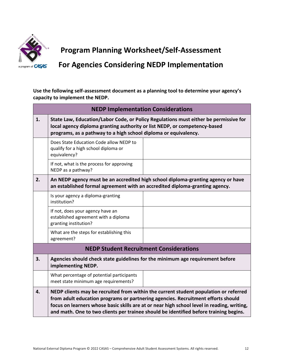

**Program Planning Worksheet/Self-Assessment**

# **For Agencies Considering NEDP Implementation**

**Use the following self-assessment document as a planning tool to determine your agency's capacity to implement the NEDP.**

| <b>NEDP Implementation Considerations</b>      |                                                                                                                                                                                                                                                                                                                                                                 |  |
|------------------------------------------------|-----------------------------------------------------------------------------------------------------------------------------------------------------------------------------------------------------------------------------------------------------------------------------------------------------------------------------------------------------------------|--|
| 1.                                             | State Law, Education/Labor Code, or Policy Regulations must either be permissive for<br>local agency diploma granting authority or list NEDP, or competency-based<br>programs, as a pathway to a high school diploma or equivalency.                                                                                                                            |  |
|                                                | Does State Education Code allow NEDP to<br>qualify for a high school diploma or<br>equivalency?                                                                                                                                                                                                                                                                 |  |
|                                                | If not, what is the process for approving<br>NEDP as a pathway?                                                                                                                                                                                                                                                                                                 |  |
| 2.                                             | An NEDP agency must be an accredited high school diploma-granting agency or have<br>an established formal agreement with an accredited diploma-granting agency.                                                                                                                                                                                                 |  |
|                                                | Is your agency a diploma-granting<br>institution?                                                                                                                                                                                                                                                                                                               |  |
|                                                | If not, does your agency have an<br>established agreement with a diploma<br>granting institution?                                                                                                                                                                                                                                                               |  |
|                                                | What are the steps for establishing this<br>agreement?                                                                                                                                                                                                                                                                                                          |  |
| <b>NEDP Student Recruitment Considerations</b> |                                                                                                                                                                                                                                                                                                                                                                 |  |
| 3.                                             | Agencies should check state guidelines for the minimum age requirement before<br>implementing NEDP.                                                                                                                                                                                                                                                             |  |
|                                                | What percentage of potential participants<br>meet state minimum age requirements?                                                                                                                                                                                                                                                                               |  |
| 4.                                             | NEDP clients may be recruited from within the current student population or referred<br>from adult education programs or partnering agencies. Recruitment efforts should<br>focus on learners whose basic skills are at or near high school level in reading, writing,<br>and math. One to two clients per trainee should be identified before training begins. |  |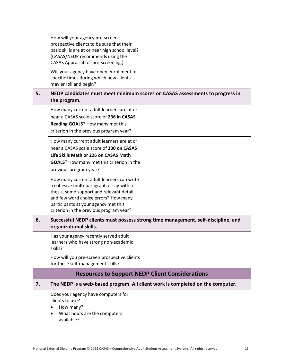|    | How will your agency pre-screen<br>prospective clients to be sure that their<br>basic skills are at or near high school level?<br>(CASAS/NEDP recommends using the<br>CASAS Appraisal for pre-screening.)                                                    |                                                                                   |  |
|----|--------------------------------------------------------------------------------------------------------------------------------------------------------------------------------------------------------------------------------------------------------------|-----------------------------------------------------------------------------------|--|
|    | Will your agency have open enrollment or<br>specific times during which new clients<br>may enroll and begin?                                                                                                                                                 |                                                                                   |  |
| 5. | the program.                                                                                                                                                                                                                                                 | NEDP candidates must meet minimum scores on CASAS assessments to progress in      |  |
|    | How many current adult learners are at or<br>near a CASAS scale score of 236 in CASAS<br>Reading GOALS? How many met this<br>criterion in the previous program year?                                                                                         |                                                                                   |  |
|    | How many current adult learners are at or<br>near a CASAS scale score of 230 on CASAS<br>Life Skills Math or 226 on CASAS Math<br><b>GOALS</b> ? How many met this criterion in the<br>previous program year?                                                |                                                                                   |  |
|    | How many current adult learners can write<br>a cohesive multi-paragraph essay with a<br>thesis, some support and relevant detail,<br>and few word choice errors? How many<br>participants at your agency met this<br>criterion in the previous program year? |                                                                                   |  |
| 6. | organizational skills.                                                                                                                                                                                                                                       | Successful NEDP clients must possess strong time management, self-discipline, and |  |
|    | Has your agency recently served adult<br>learners who have strong non-academic<br>skills?                                                                                                                                                                    |                                                                                   |  |
|    | How will you pre-screen prospective clients<br>for these self-management skills?                                                                                                                                                                             |                                                                                   |  |
|    | <b>Resources to Support NEDP Client Considerations</b>                                                                                                                                                                                                       |                                                                                   |  |
| 7. | The NEDP is a web-based program. All client work is completed on the computer.                                                                                                                                                                               |                                                                                   |  |
|    | Does your agency have computers for<br>clients to use?<br>How many?<br>$\bullet$<br>What hours are the computers<br>available?                                                                                                                               |                                                                                   |  |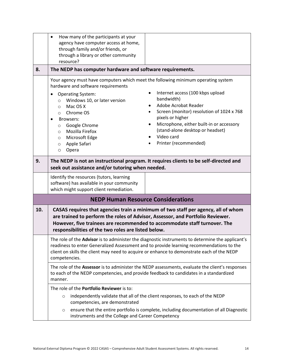|     | How many of the participants at your<br>$\bullet$<br>agency have computer access at home,<br>through family and/or friends, or<br>through a library or other community                                                                                                                                                                                                                                                                                                                                                                                            |  |  |
|-----|-------------------------------------------------------------------------------------------------------------------------------------------------------------------------------------------------------------------------------------------------------------------------------------------------------------------------------------------------------------------------------------------------------------------------------------------------------------------------------------------------------------------------------------------------------------------|--|--|
|     | resource?                                                                                                                                                                                                                                                                                                                                                                                                                                                                                                                                                         |  |  |
| 8.  | The NEDP has computer hardware and software requirements.                                                                                                                                                                                                                                                                                                                                                                                                                                                                                                         |  |  |
|     | Your agency must have computers which meet the following minimum operating system<br>hardware and software requirements                                                                                                                                                                                                                                                                                                                                                                                                                                           |  |  |
|     | Internet access (100 kbps upload<br><b>Operating System:</b><br>$\bullet$<br>bandwidth)<br>Windows 10, or later version<br>$\circ$<br>Adobe Acrobat Reader<br>Mac OS X<br>$\circ$<br>Screen (monitor) resolution of 1024 x 768<br>Chrome OS<br>$\circ$<br>pixels or higher<br>Browsers:<br>$\bullet$<br>Microphone, either built-in or accessory<br>Google Chrome<br>$\circ$<br>(stand-alone desktop or headset)<br>Mozilla Firefox<br>$\circ$<br>Video card<br>Microsoft Edge<br>$\circ$<br>Printer (recommended)<br>Apple Safari<br>$\circ$<br>Opera<br>$\circ$ |  |  |
| 9.  | The NEDP is not an instructional program. It requires clients to be self-directed and<br>seek out assistance and/or tutoring when needed.                                                                                                                                                                                                                                                                                                                                                                                                                         |  |  |
|     | Identify the resources (tutors, learning<br>software) has available in your community<br>which might support client remediation.                                                                                                                                                                                                                                                                                                                                                                                                                                  |  |  |
|     | <b>NEDP Human Resource Considerations</b>                                                                                                                                                                                                                                                                                                                                                                                                                                                                                                                         |  |  |
| 10. | CASAS requires that agencies train a minimum of two staff per agency, all of whom<br>are trained to perform the roles of Advisor, Assessor, and Portfolio Reviewer.<br>However, five trainees are recommended to accommodate staff turnover. The<br>responsibilities of the two roles are listed below.                                                                                                                                                                                                                                                           |  |  |
|     | The role of the Advisor is to administer the diagnostic instruments to determine the applicant's<br>readiness to enter Generalized Assessment and to provide learning recommendations to the<br>client on skills the client may need to acquire or enhance to demonstrate each of the NEDP<br>competencies.                                                                                                                                                                                                                                                       |  |  |
|     | The role of the Assessor is to administer the NEDP assessments, evaluate the client's responses<br>to each of the NEDP competencies, and provide feedback to candidates in a standardized<br>manner.                                                                                                                                                                                                                                                                                                                                                              |  |  |
|     | The role of the Portfolio Reviewer is to:                                                                                                                                                                                                                                                                                                                                                                                                                                                                                                                         |  |  |
|     | independently validate that all of the client responses, to each of the NEDP<br>$\circ$<br>competencies, are demonstrated                                                                                                                                                                                                                                                                                                                                                                                                                                         |  |  |
|     | ensure that the entire portfolio is complete, including documentation of all Diagnostic<br>$\circ$<br>instruments and the College and Career Competency                                                                                                                                                                                                                                                                                                                                                                                                           |  |  |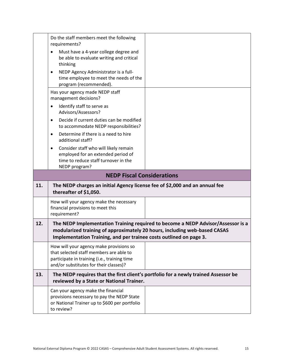|     | Do the staff members meet the following<br>requirements?                                                                                                                     |                                                                                     |
|-----|------------------------------------------------------------------------------------------------------------------------------------------------------------------------------|-------------------------------------------------------------------------------------|
|     | Must have a 4-year college degree and<br>$\bullet$<br>be able to evaluate writing and critical<br>thinking                                                                   |                                                                                     |
|     | NEDP Agency Administrator is a full-<br>$\bullet$<br>time employee to meet the needs of the<br>program (recommended).                                                        |                                                                                     |
|     | Has your agency made NEDP staff<br>management decisions?                                                                                                                     |                                                                                     |
|     | Identify staff to serve as<br>$\bullet$<br>Advisors/Assessors?                                                                                                               |                                                                                     |
|     | Decide if current duties can be modified<br>$\bullet$<br>to accommodate NEDP responsibilities?                                                                               |                                                                                     |
|     | Determine if there is a need to hire<br>$\bullet$<br>additional staff?                                                                                                       |                                                                                     |
|     | Consider staff who will likely remain<br>$\bullet$<br>employed for an extended period of<br>time to reduce staff turnover in the<br>NEDP program?                            |                                                                                     |
|     | <b>NEDP Fiscal Considerations</b>                                                                                                                                            |                                                                                     |
| 11. | The NEDP charges an initial Agency license fee of \$2,000 and an annual fee<br>thereafter of \$1,050.                                                                        |                                                                                     |
|     |                                                                                                                                                                              |                                                                                     |
|     | How will your agency make the necessary<br>financial provisions to meet this<br>requirement?                                                                                 |                                                                                     |
| 12. | modularized training of approximately 20 hours, including web-based CASAS<br>Implementation Training, and per trainee costs outlined on page 3.                              | The NEDP Implementation Training required to become a NEDP Advisor/Assessor is a    |
|     | How will your agency make provisions so<br>that selected staff members are able to<br>participate in training (i.e., training time<br>and/or substitutes for their classes)? |                                                                                     |
| 13. | reviewed by a State or National Trainer.                                                                                                                                     | The NEDP requires that the first client's portfolio for a newly trained Assessor be |